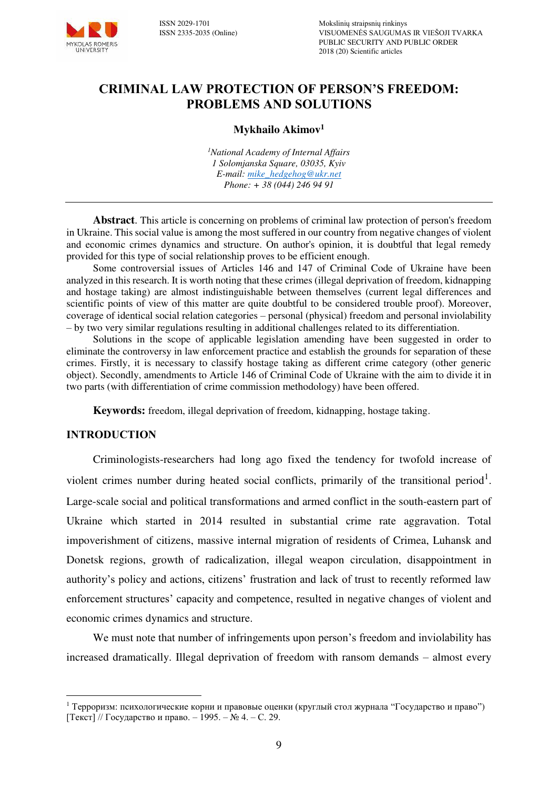

# **CRIMINAL LAW PROTECTION OF PERSON'S FREEDOM: PROBLEMS AND SOLUTIONS**

### **Мykhailo Akimov<sup>1</sup>**

*<sup>1</sup>National Academy of Internal Affairs 1 Solomjanska Square, 03035, Kyiv E-mail: [mike\\_hedgehog@ukr.net](mailto:mike_hedgehog@ukr.net)  Phone: + 38 (044) 246 94 91* 

**Abstract**. This article is concerning on problems of criminal law protection of person's freedom in Ukraine. This social value is among the most suffered in our country from negative changes of violent and economic crimes dynamics and structure. On author's opinion, it is doubtful that legal remedy provided for this type of social relationship proves to be efficient enough.

Some controversial issues of Articles 146 and 147 of Criminal Code of Ukraine have been analyzed in this research. It is worth noting that these crimes (illegal deprivation of freedom, kidnapping and hostage taking) are almost indistinguishable between themselves (current legal differences and scientific points of view of this matter are quite doubtful to be considered trouble proof). Moreover, coverage of identical social relation categories – personal (physical) freedom and personal inviolability – by two very similar regulations resulting in additional challenges related to its differentiation.

Solutions in the scope of applicable legislation amending have been suggested in order to eliminate the controversy in law enforcement practice and establish the grounds for separation of these crimes. Firstly, it is necessary to classify hostage taking as different crime category (other generic object). Secondly, amendments to Article 146 of Criminal Code of Ukraine with the aim to divide it in two parts (with differentiation of crime commission methodology) have been offered.

**Keywords:** freedom, illegal deprivation of freedom, kidnapping, hostage taking.

#### **INTRODUCTION**

 $\overline{a}$ 

Criminologists-researchers had long ago fixed the tendency for twofold increase of violent crimes number during heated social conflicts, primarily of the transitional period<sup>1</sup>. Large-scale social and political transformations and armed conflict in the south-eastern part of Ukraine which started in 2014 resulted in substantial crime rate aggravation. Total impoverishment of citizens, massive internal migration of residents of Crimea, Luhansk and Donetsk regions, growth of radicalization, illegal weapon circulation, disappointment in authority's policy and actions, citizens' frustration and lack of trust to recently reformed law enforcement structures' capacity and competence, resulted in negative changes of violent and economic crimes dynamics and structure.

We must note that number of infringements upon person's freedom and inviolability has increased dramatically. Illegal deprivation of freedom with ransom demands – almost every

<sup>&</sup>lt;sup>1</sup> Терроризм: психологические корни и правовые оценки (круглый стол журнала "Государство и право") [Текст] // Государство и право. – 1995. – № 4. – С. 29.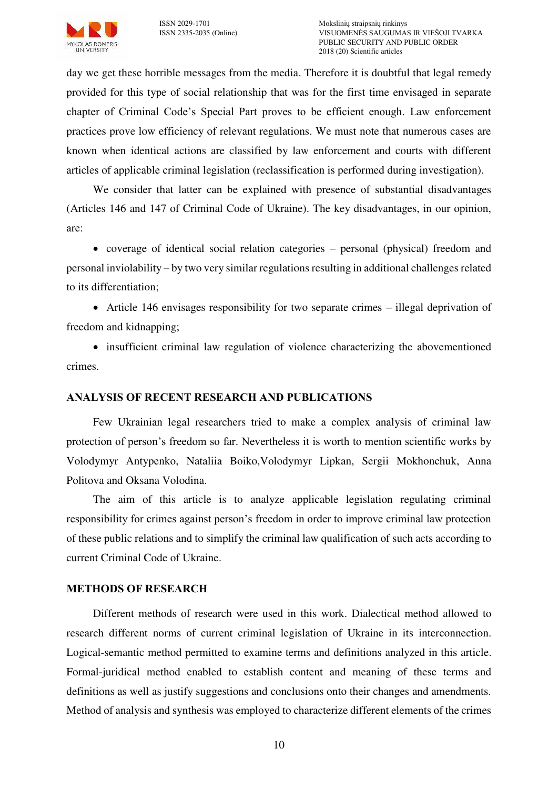

day we get these horrible messages from the media. Therefore it is doubtful that legal remedy provided for this type of social relationship that was for the first time envisaged in separate chapter of Criminal Code's Special Part proves to be efficient enough. Law enforcement practices prove low efficiency of relevant regulations. We must note that numerous cases are known when identical actions are classified by law enforcement and courts with different articles of applicable criminal legislation (reclassification is performed during investigation).

We consider that latter can be explained with presence of substantial disadvantages (Articles 146 and 147 of Criminal Code of Ukraine). The key disadvantages, in our opinion, are:

 coverage of identical social relation categories – personal (physical) freedom and personal inviolability – by two very similar regulations resulting in additional challenges related to its differentiation;

 Article 146 envisages responsibility for two separate crimes – illegal deprivation of freedom and kidnapping;

• insufficient criminal law regulation of violence characterizing the abovementioned crimes.

# **ANALYSIS OF RECENT RESEARCH AND PUBLICATIONS**

Few Ukrainian legal researchers tried to make a complex analysis of criminal law protection of person's freedom so far. Nevertheless it is worth to mention scientific works by Volodymyr Antypenko, Nataliia Boiko,Volodymyr Lipkan, Sergii Mokhonchuk, Anna Politova and Oksana Volodina.

The aim of this article is to analyze applicable legislation regulating criminal responsibility for crimes against person's freedom in order to improve criminal law protection of these public relations and to simplify the criminal law qualification of such acts according to current Criminal Code of Ukraine.

#### **METHODS OF RESEARCH**

Different methods of research were used in this work. Dialectical method allowed to research different norms of current criminal legislation of Ukraine in its interconnection. Logical-semantic method permitted to examine terms and definitions analyzed in this article. Formal-juridical method enabled to establish content and meaning of these terms and definitions as well as justify suggestions and conclusions onto their changes and amendments. Method of analysis and synthesis was employed to characterize different elements of the crimes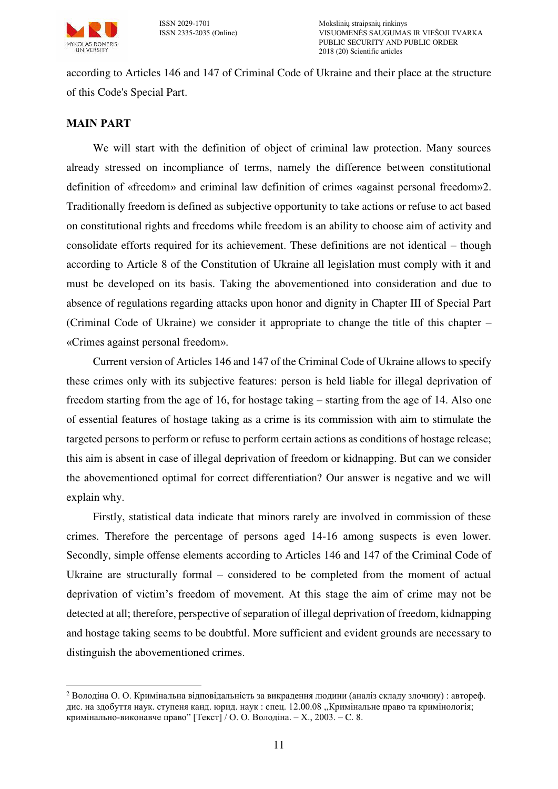

ISSN 2029-1701 Mokslinių straipsnių rinkinys VISUOMENĖS SAUGUMAS IR VIEŠOJI TVARKA PUBLIC SECURITY AND PUBLIC ORDER 2018 (20) Scientific articles

according to Articles 146 and 147 of Criminal Code of Ukraine and their place at the structure of this Code's Special Part.

## **MAIN PART**

We will start with the definition of object of criminal law protection. Many sources already stressed on incompliance of terms, namely the difference between constitutional definition of «freedom» and criminal law definition of crimes «against personal freedom»2. Traditionally freedom is defined as subjective opportunity to take actions or refuse to act based on constitutional rights and freedoms while freedom is an ability to choose aim of activity and consolidate efforts required for its achievement. These definitions are not identical – though according to Article 8 of the Constitution of Ukraine all legislation must comply with it and must be developed on its basis. Taking the abovementioned into consideration and due to absence of regulations regarding attacks upon honor and dignity in Chapter III of Special Part (Criminal Code of Ukraine) we consider it appropriate to change the title of this chapter – «Crimes against personal freedom».

Current version of Articles 146 and 147 of the Criminal Code of Ukraine allows to specify these crimes only with its subjective features: person is held liable for illegal deprivation of freedom starting from the age of 16, for hostage taking – starting from the age of 14. Also one of essential features of hostage taking as a crime is its commission with aim to stimulate the targeted persons to perform or refuse to perform certain actions as conditions of hostage release; this aim is absent in case of illegal deprivation of freedom or kidnapping. But can we consider the abovementioned optimal for correct differentiation? Our answer is negative and we will explain why.

Firstly, statistical data indicate that minors rarely are involved in commission of these crimes. Therefore the percentage of persons aged 14-16 among suspects is even lower. Secondly, simple offense elements according to Articles 146 and 147 of the Criminal Code of Ukraine are structurally formal – considered to be completed from the moment of actual deprivation of victim's freedom of movement. At this stage the aim of crime may not be detected at all; therefore, perspective of separation of illegal deprivation of freedom, kidnapping and hostage taking seems to be doubtful. More sufficient and evident grounds are necessary to distinguish the abovementioned crimes.

 $\overline{a}$ <sup>2</sup> Володіна О. О. Кримінальна відповідальність за викрадення людини (аналіз складу злочину) : автореф. дис. на здобуття наук. ступеня канд. юрид. наук : спец. 12.00.08 ,,Кримінальне право та кримінологія; кримінально-виконавче право" [Текст] / О. О. Володіна. – Х., 2003. – C. 8.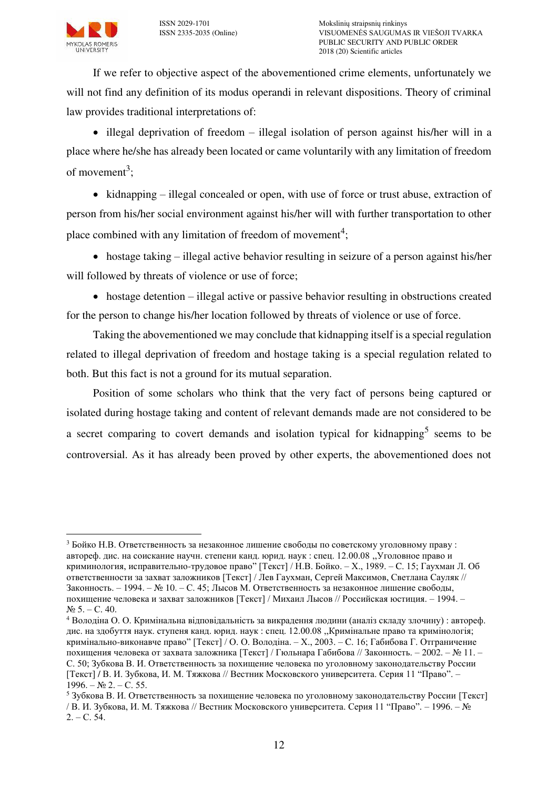

If we refer to objective aspect of the abovementioned crime elements, unfortunately we will not find any definition of its modus operandi in relevant dispositions. Theory of criminal law provides traditional interpretations of:

 $\bullet$  illegal deprivation of freedom – illegal isolation of person against his/her will in a place where he/she has already been located or came voluntarily with any limitation of freedom of movement<sup>3</sup>;

 $\bullet$  kidnapping – illegal concealed or open, with use of force or trust abuse, extraction of person from his/her social environment against his/her will with further transportation to other place combined with any limitation of freedom of movement<sup>4</sup>;

 hostage taking – illegal active behavior resulting in seizure of a person against his/her will followed by threats of violence or use of force;

 $\bullet$  hostage detention – illegal active or passive behavior resulting in obstructions created for the person to change his/her location followed by threats of violence or use of force.

Taking the abovementioned we may conclude that kidnapping itself is a special regulation related to illegal deprivation of freedom and hostage taking is a special regulation related to both. But this fact is not a ground for its mutual separation.

Position of some scholars who think that the very fact of persons being captured or isolated during hostage taking and content of relevant demands made are not considered to be a secret comparing to covert demands and isolation typical for kidnapping<sup>5</sup> seems to be controversial. As it has already been proved by other experts, the abovementioned does not

 $\overline{a}$ <sup>3</sup> Бойко Н.В. Ответственность за незаконное лишение свободы по советскому уголовному праву: автореф. дис. на соискание научн. степени канд. юрид. наук : спец. 12.00.08 ,,Уголовное право и криминология, исправительно-трудовое право" [Текст] / Н.В. Бойко. – Х., 1989. – C. 15; Гаухман Л. Об ответственности за захват заложников [Текст] / Лев Гаухман, Сергей Максимов, Светлана Сауляк // Законность. – 1994. – № 10. – С. 45; Лысов М. Ответственность за незаконное лишение свободы, похищение человека и захват заложников [Текст] / Михаил Лысов // Российская юстиция. – 1994. –  $N_2$  5. – C. 40.

<sup>4</sup> Володіна О. О. Кримінальна відповідальність за викрадення людини (аналіз складу злочину) : автореф. дис. на здобуття наук. ступеня канд. юрид. наук : спец. 12.00.08 ,,Кримінальне право та кримінологія; кримінально-виконавче право" [Текст] / О. О. Володіна. – Х., 2003. – C. 16; Габибова Г. Отграничение похищения человека от захвата заложника [Текст] / Гюльнара Габибова // Законность. – 2002. – № 11. – С. 50; Зубкова В. И. Ответственность за похищение человека по уголовному законодательству России [Текст] / В. И. Зубкова, И. М. Тяжкова // Вестник Московского университета. Серия 11 "Право". –  $1996. - N_2 2. - C. 55.$ 

<sup>5</sup> Зубкова В. И. Ответственность за похищение человека по уголовному законодательству России [Текст] / В. И. Зубкова, И. М. Тяжкова // Вестник Московского университета. Серия 11 "Право". – 1996. – №  $2. - C. 54.$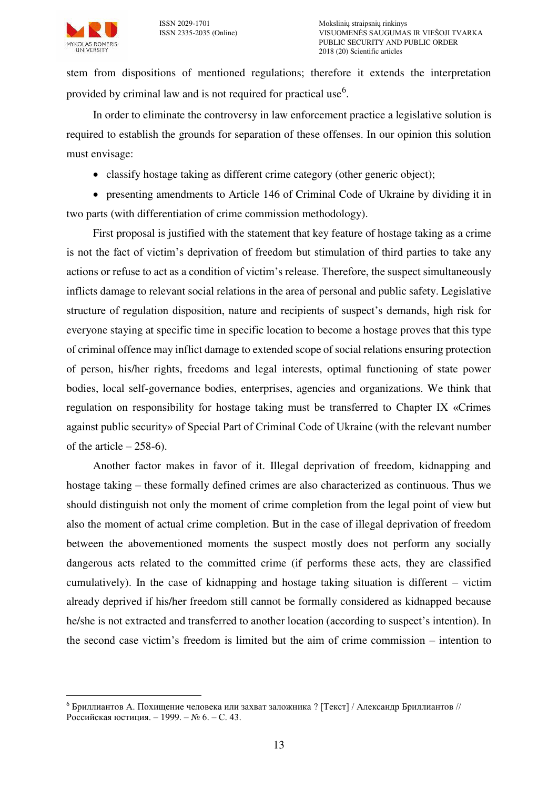stem from dispositions of mentioned regulations; therefore it extends the interpretation provided by criminal law and is not required for practical use<sup>6</sup>.

In order to eliminate the controversy in law enforcement practice a legislative solution is required to establish the grounds for separation of these offenses. In our opinion this solution must envisage:

classify hostage taking as different crime category (other generic object);

 presenting amendments to Article 146 of Criminal Code of Ukraine by dividing it in two parts (with differentiation of crime commission methodology).

First proposal is justified with the statement that key feature of hostage taking as a crime is not the fact of victim's deprivation of freedom but stimulation of third parties to take any actions or refuse to act as a condition of victim's release. Therefore, the suspect simultaneously inflicts damage to relevant social relations in the area of personal and public safety. Legislative structure of regulation disposition, nature and recipients of suspect's demands, high risk for everyone staying at specific time in specific location to become a hostage proves that this type of criminal offence may inflict damage to extended scope of social relations ensuring protection of person, his/her rights, freedoms and legal interests, optimal functioning of state power bodies, local self-governance bodies, enterprises, agencies and organizations. We think that regulation on responsibility for hostage taking must be transferred to Chapter IX «Crimes against public security» of Special Part of Criminal Code of Ukraine (with the relevant number of the article  $-258-6$ ).

Another factor makes in favor of it. Illegal deprivation of freedom, kidnapping and hostage taking – these formally defined crimes are also characterized as continuous. Thus we should distinguish not only the moment of crime completion from the legal point of view but also the moment of actual crime completion. But in the case of illegal deprivation of freedom between the abovementioned moments the suspect mostly does not perform any socially dangerous acts related to the committed crime (if performs these acts, they are classified cumulatively). In the case of kidnapping and hostage taking situation is different – victim already deprived if his/her freedom still cannot be formally considered as kidnapped because he/she is not extracted and transferred to another location (according to suspect's intention). In the second case victim's freedom is limited but the aim of crime commission – intention to

 $\overline{a}$ <sup>6</sup> Бриллиантов А. Похищение человека или захват заложника ? [Текст] / Александр Бриллиантов // Российская юстиция. – 1999. – № 6. – С. 43.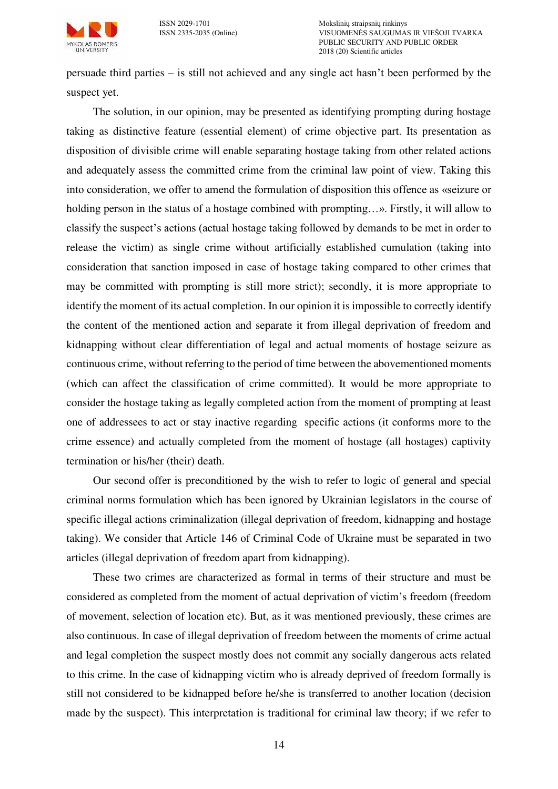

persuade third parties – is still not achieved and any single act hasn't been performed by the suspect yet.

The solution, in our opinion, may be presented as identifying prompting during hostage taking as distinctive feature (essential element) of crime objective part. Its presentation as disposition of divisible crime will enable separating hostage taking from other related actions and adequately assess the committed crime from the criminal law point of view. Taking this into consideration, we offer to amend the formulation of disposition this offence as «seizure or holding person in the status of a hostage combined with prompting...». Firstly, it will allow to classify the suspect's actions (actual hostage taking followed by demands to be met in order to release the victim) as single crime without artificially established cumulation (taking into consideration that sanction imposed in case of hostage taking compared to other crimes that may be committed with prompting is still more strict); secondly, it is more appropriate to identify the moment of its actual completion. In our opinion it is impossible to correctly identify the content of the mentioned action and separate it from illegal deprivation of freedom and kidnapping without clear differentiation of legal and actual moments of hostage seizure as continuous crime, without referring to the period of time between the abovementioned moments (which can affect the classification of crime committed). It would be more appropriate to consider the hostage taking as legally completed action from the moment of prompting at least one of addressees to act or stay inactive regarding specific actions (it conforms more to the crime essence) and actually completed from the moment of hostage (all hostages) captivity termination or his/her (their) death.

Our second offer is preconditioned by the wish to refer to logic of general and special criminal norms formulation which has been ignored by Ukrainian legislators in the course of specific illegal actions criminalization (illegal deprivation of freedom, kidnapping and hostage taking). We consider that Article 146 of Criminal Code of Ukraine must be separated in two articles (illegal deprivation of freedom apart from kidnapping).

These two crimes are characterized as formal in terms of their structure and must be considered as completed from the moment of actual deprivation of victim's freedom (freedom of movement, selection of location etc). But, as it was mentioned previously, these crimes are also continuous. In case of illegal deprivation of freedom between the moments of crime actual and legal completion the suspect mostly does not commit any socially dangerous acts related to this crime. In the case of kidnapping victim who is already deprived of freedom formally is still not considered to be kidnapped before he/she is transferred to another location (decision made by the suspect). This interpretation is traditional for criminal law theory; if we refer to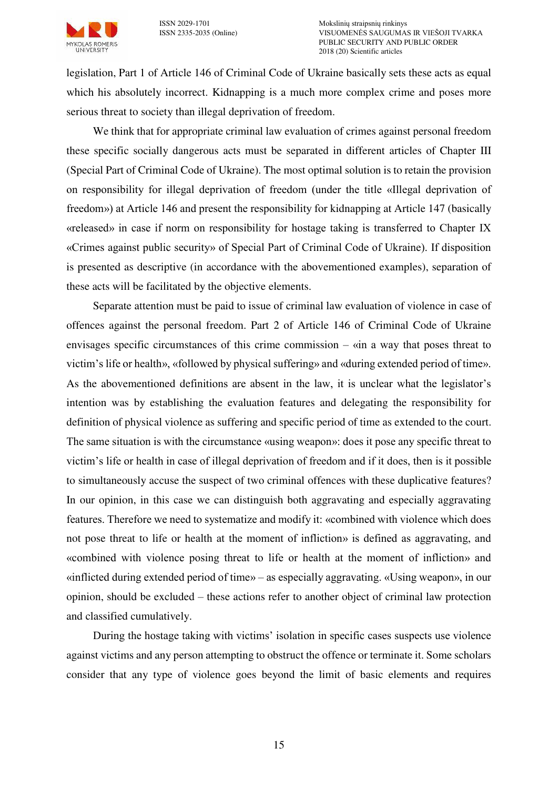

legislation, Part 1 of Article 146 of Criminal Code of Ukraine basically sets these acts as equal which his absolutely incorrect. Kidnapping is a much more complex crime and poses more serious threat to society than illegal deprivation of freedom.

We think that for appropriate criminal law evaluation of crimes against personal freedom these specific socially dangerous acts must be separated in different articles of Chapter III (Special Part of Criminal Code of Ukraine). The most optimal solution is to retain the provision on responsibility for illegal deprivation of freedom (under the title «Illegal deprivation of freedom») at Article 146 and present the responsibility for kidnapping at Article 147 (basically «released» in case if norm on responsibility for hostage taking is transferred to Chapter IX «Crimes against public security» of Special Part of Criminal Code of Ukraine). If disposition is presented as descriptive (in accordance with the abovementioned examples), separation of these acts will be facilitated by the objective elements.

Separate attention must be paid to issue of criminal law evaluation of violence in case of offences against the personal freedom. Part 2 of Article 146 of Criminal Code of Ukraine envisages specific circumstances of this crime commission – «in a way that poses threat to victim's life or health», «followed by physical suffering» and «during extended period of time». As the abovementioned definitions are absent in the law, it is unclear what the legislator's intention was by establishing the evaluation features and delegating the responsibility for definition of physical violence as suffering and specific period of time as extended to the court. The same situation is with the circumstance «using weapon»: does it pose any specific threat to victim's life or health in case of illegal deprivation of freedom and if it does, then is it possible to simultaneously accuse the suspect of two criminal offences with these duplicative features? In our opinion, in this case we can distinguish both aggravating and especially aggravating features. Therefore we need to systematize and modify it: «combined with violence which does not pose threat to life or health at the moment of infliction» is defined as aggravating, аnd «combined with violence posing threat to life or health at the moment of infliction» and «inflicted during extended period of time» – as especially aggravating. «Using weapon», in our opinion, should be excluded – these actions refer to another object of criminal law protection and classified cumulatively.

During the hostage taking with victims' isolation in specific cases suspects use violence against victims and any person attempting to obstruct the offence or terminate it. Some scholars consider that any type of violence goes beyond the limit of basic elements and requires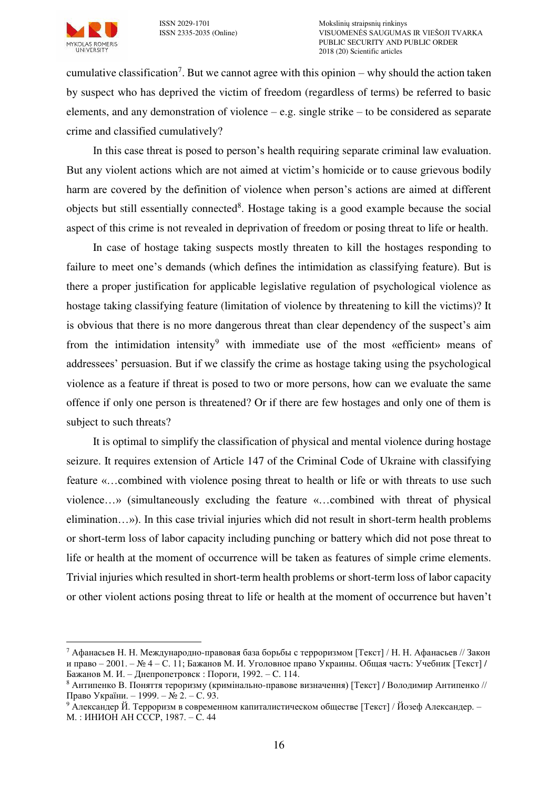

 $\overline{a}$ 

ISSN 2029-1701 Mokslinių straipsnių rinkinys VISUOMENĖS SAUGUMAS IR VIEŠOJI TVARKA PUBLIC SECURITY AND PUBLIC ORDER 2018 (20) Scientific articles

cumulative classification<sup>7</sup>. But we cannot agree with this opinion  $-$  why should the action taken by suspect who has deprived the victim of freedom (regardless of terms) be referred to basic elements, and any demonstration of violence – e.g. single strike – to be considered as separate crime and classified cumulatively?

In this case threat is posed to person's health requiring separate criminal law evaluation. But any violent actions which are not aimed at victim's homicide or to cause grievous bodily harm are covered by the definition of violence when person's actions are aimed at different objects but still essentially connected<sup>8</sup>. Hostage taking is a good example because the social aspect of this crime is not revealed in deprivation of freedom or posing threat to life or health.

In case of hostage taking suspects mostly threaten to kill the hostages responding to failure to meet one's demands (which defines the intimidation as classifying feature). But is there a proper justification for applicable legislative regulation of psychological violence as hostage taking classifying feature (limitation of violence by threatening to kill the victims)? It is obvious that there is no more dangerous threat than clear dependency of the suspect's aim from the intimidation intensity<sup>9</sup> with immediate use of the most «efficient» means of addressees' persuasion. But if we classify the crime as hostage taking using the psychological violence as a feature if threat is posed to two or more persons, how can we evaluate the same offence if only one person is threatened? Or if there are few hostages and only one of them is subject to such threats?

It is optimal to simplify the classification of physical and mental violence during hostage seizure. It requires extension of Article 147 of the Criminal Code of Ukraine with classifying feature «…combined with violence posing threat to health or life or with threats to use such violence…» (simultaneously excluding the feature «…combined with threat of physical elimination…»). In this case trivial injuries which did not result in short-term health problems or short-term loss of labor capacity including punching or battery which did not pose threat to life or health at the moment of occurrence will be taken as features of simple crime elements. Trivial injuries which resulted in short-term health problems or short-term loss of labor capacity or other violent actions posing threat to life or health at the moment of occurrence but haven't

<sup>7</sup> Афанасьев Н. Н. Международно-правовая база борьбы с терроризмом [Текст] / Н. Н. Афанасьев // Закон и право – 2001. – № 4 – С. 11; Бажанов М. И. Уголовное право Украины. Общая часть: Учебник [Текст] / Бажанов М. И. – Днепропетровск : Пороги, 1992. – C. 114.

 $8$  Антипенко В. Поняття тероризму (кримінально-правове визначення) [Текст] / Володимир Антипенко // Право України. – 1999. – № 2. – С. 93.

<sup>9</sup> Александер Й. Терроризм в современном капиталистическом обществе [Текст] / Йозеф Александер. – М. : ИНИОН АН СССР, 1987. – C. 44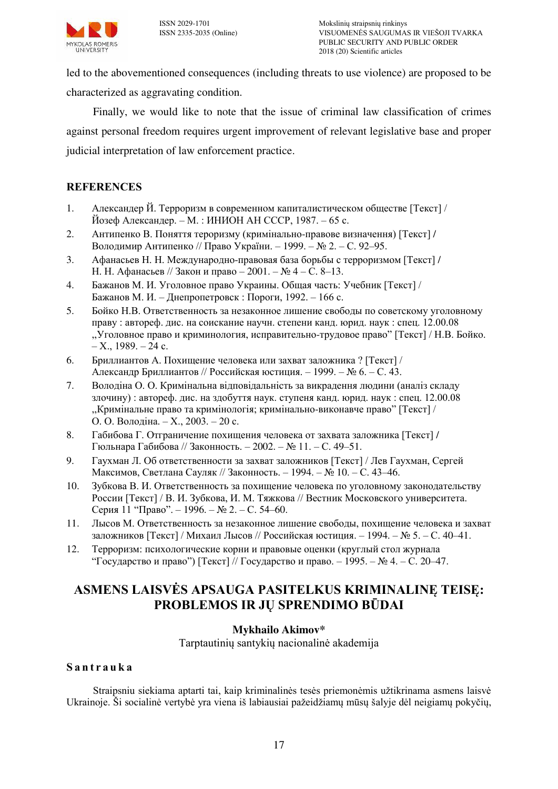

led to the abovementioned consequences (including threats to use violence) are proposed to be characterized as aggravating condition.

Finally, we would like to note that the issue of criminal law classification of crimes against personal freedom requires urgent improvement of relevant legislative base and proper judicial interpretation of law enforcement practice.

## **REFERENCES**

- 1. Александер Й. Терроризм в современном капиталистическом обществе [Текст] / Йозеф Александер. – М. : ИНИОН АН СССР, 1987. – 65 с.
- 2. Антипенко В. Поняття тероризму (кримінально-правове визначення) [Текст] / Володимир Антипенко // Право України. – 1999. – № 2. – С. 92–95.
- 3. Афанасьев Н. Н. Международно-правовая база борьбы с терроризмом [Текст] / Н. Н. Афанасьев // Закон и право – 2001. – № 4 – С. 8–13.
- 4. Бажанов М. И. Уголовное право Украины. Общая часть: Учебник [Текст] / Бажанов М. И. – Днепропетровск : Пороги, 1992. – 166 с.
- 5. Бойко Н.В. Ответственность за незаконное лишение свободы по советскому уголовному праву : автореф. дис. на соискание научн. степени канд. юрид. наук : спец. 12.00.08 ,,Уголовное право и криминология, исправительно-трудовое право" [Текст] / Н.В. Бойко. – X., 1989. – 24 с.
- 6. Бриллиантов А. Похищение человека или захват заложника ? [Текст] / Александр Бриллиантов // Российская юстиция. – 1999. – № 6. – С. 43.
- 7. Володіна О. О. Кримінальна відповідальність за викрадення людини (аналіз складу злочину) : автореф. дис. на здобуття наук. ступеня канд. юрид. наук : спец. 12.00.08 ,,Кримінальне право та кримінологія; кримінально-виконавче право" [Текст] / О. О. Володіна. – Х., 2003. – 20 с.
- 8. Габибова Г. Отграничение похищения человека от захвата заложника [Текст] / Гюльнара Габибова // Законность. – 2002. – № 11. – С. 49–51.
- 9. Гаухман Л. Об ответственности за захват заложников [Текст] / Лев Гаухман, Сергей Максимов, Светлана Сауляк // Законность. – 1994. – № 10. – С. 43–46.
- 10. Зубкова В. И. Ответственность за похищение человека по уголовному законодательству России [Текст] / В. И. Зубкова, И. М. Тяжкова // Вестник Московского университета. Серия 11 "Право". – 1996. – № 2. – С. 54–60.
- 11. Лысов М. Ответственность за незаконное лишение свободы, похищение человека и захват заложников [Текст] / Михаил Лысов // Российская юстиция. – 1994. – № 5. – С. 40–41.
- 12. Терроризм: психологические корни и правовые оценки (круглый стол журнала "Государство и право") [Текст] // Государство и право. – 1995. – № 4. – С. 20–47.

# **ASMENS LAISVĖS APSAUGA PASITELKUS KRIMINALINĘ TEISĘ: PROBLEMOS IR JŲ SPRENDIMO BŪDAI**

# **Mykhailo Akimov\***

Tarptautinių santykių nacionalinė akademija

#### **S a n t r a u k a**

Straipsniu siekiama aptarti tai, kaip kriminalinės tesės priemonėmis užtikrinama asmens laisvė Ukrainoje. Ši socialinė vertybė yra viena iš labiausiai pažeidžiamų mūsų šalyje dėl neigiamų pokyčių,